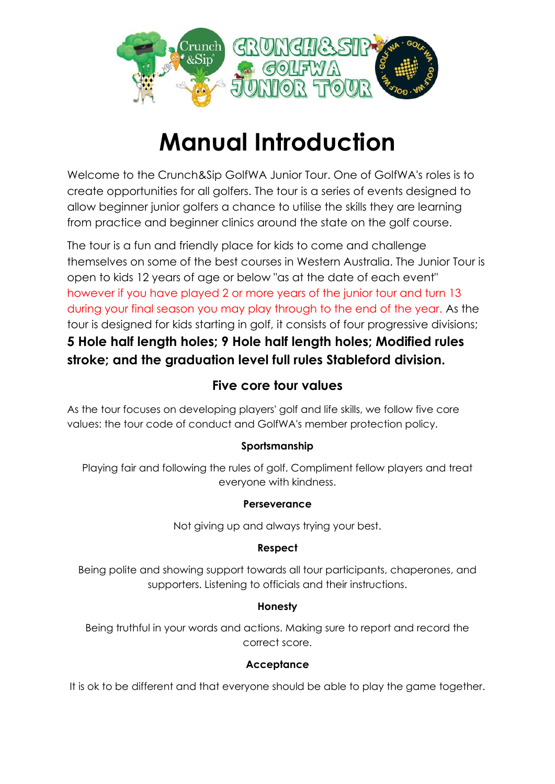

# **Manual Introduction**

Welcome to the Crunch&Sip GolfWA Junior Tour. One of GolfWA's roles is to create opportunities for all golfers. The tour is a series of events designed to allow beginner junior golfers a chance to utilise the skills they are learning from practice and beginner clinics around the state on the golf course.

The tour is a fun and friendly place for kids to come and challenge themselves on some of the best courses in Western Australia. The Junior Tour is open to kids 12 years of age or below "as at the date of each event" however if you have played 2 or more years of the junior tour and turn 13 during your final season you may play through to the end of the year. As the tour is designed for kids starting in golf, it consists of four progressive divisions; **5 Hole half length holes; 9 Hole half length holes; Modified rules stroke; and the graduation level full rules Stableford division.**

## **Five core tour values**

As the tour focuses on developing players' golf and life skills, we follow five core values: the tour code of conduct and GolfWA's member protection policy.

### **Sportsmanship**

Playing fair and following the rules of golf. Compliment fellow players and treat everyone with kindness.

### **Perseverance**

Not giving up and always trying your best.

### **Respect**

Being polite and showing support towards all tour participants, chaperones, and supporters. Listening to officials and their instructions.

### **Honesty**

Being truthful in your words and actions. Making sure to report and record the correct score.

### **Acceptance**

It is ok to be different and that everyone should be able to play the game together.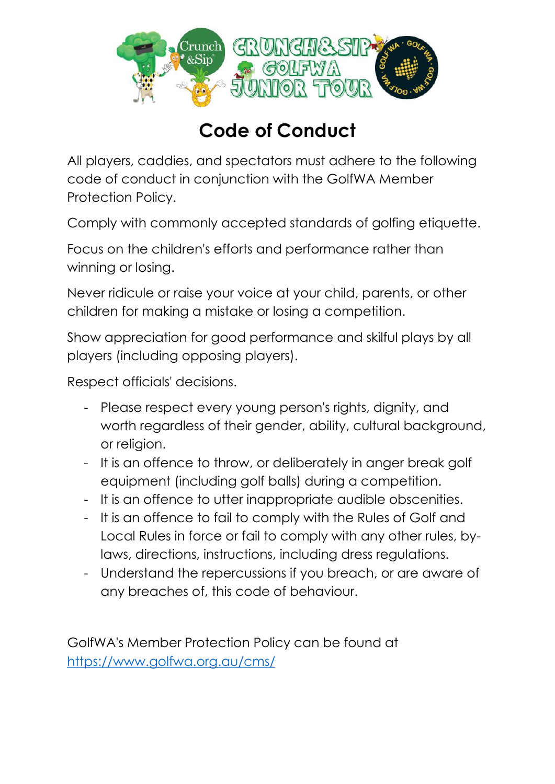

## **Code of Conduct**

All players, caddies, and spectators must adhere to the following code of conduct in conjunction with the GolfWA Member Protection Policy.

Comply with commonly accepted standards of golfing etiquette.

Focus on the children's efforts and performance rather than winning or losing.

Never ridicule or raise your voice at your child, parents, or other children for making a mistake or losing a competition.

Show appreciation for good performance and skilful plays by all players (including opposing players).

Respect officials' decisions.

- Please respect every young person's rights, dignity, and worth regardless of their gender, ability, cultural background, or religion.
- It is an offence to throw, or deliberately in anger break golf equipment (including golf balls) during a competition.
- It is an offence to utter inappropriate audible obscenities.
- It is an offence to fail to comply with the Rules of Golf and Local Rules in force or fail to comply with any other rules, bylaws, directions, instructions, including dress regulations.
- Understand the repercussions if you breach, or are aware of any breaches of, this code of behaviour.

GolfWA's Member Protection Policy can be found at <https://www.golfwa.org.au/cms/>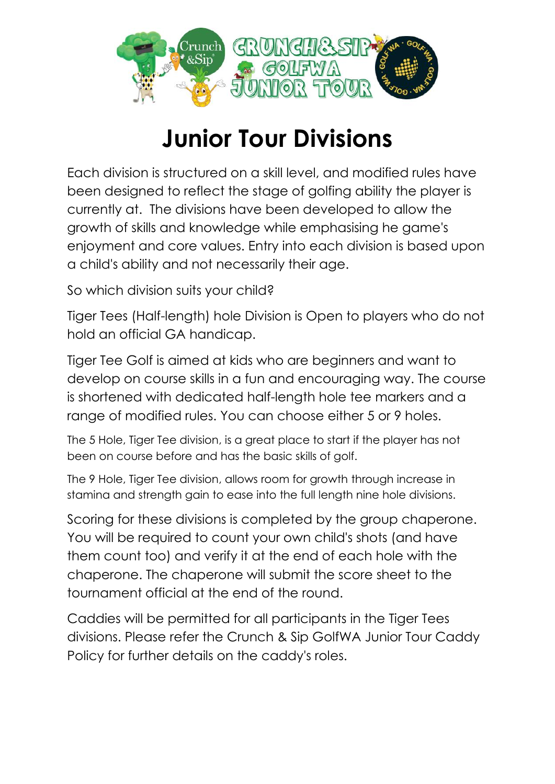

# **Junior Tour Divisions**

Each division is structured on a skill level, and modified rules have been designed to reflect the stage of golfing ability the player is currently at. The divisions have been developed to allow the growth of skills and knowledge while emphasising he game's enjoyment and core values. Entry into each division is based upon a child's ability and not necessarily their age.

So which division suits your child?

Tiger Tees (Half-length) hole Division is Open to players who do not hold an official GA handicap.

Tiger Tee Golf is aimed at kids who are beginners and want to develop on course skills in a fun and encouraging way. The course is shortened with dedicated half-length hole tee markers and a range of modified rules. You can choose either 5 or 9 holes.

The 5 Hole, Tiger Tee division, is a great place to start if the player has not been on course before and has the basic skills of golf.

The 9 Hole, Tiger Tee division, allows room for growth through increase in stamina and strength gain to ease into the full length nine hole divisions.

Scoring for these divisions is completed by the group chaperone. You will be required to count your own child's shots (and have them count too) and verify it at the end of each hole with the chaperone. The chaperone will submit the score sheet to the tournament official at the end of the round.

Caddies will be permitted for all participants in the Tiger Tees divisions. Please refer the Crunch & Sip GolfWA Junior Tour Caddy Policy for further details on the caddy's roles.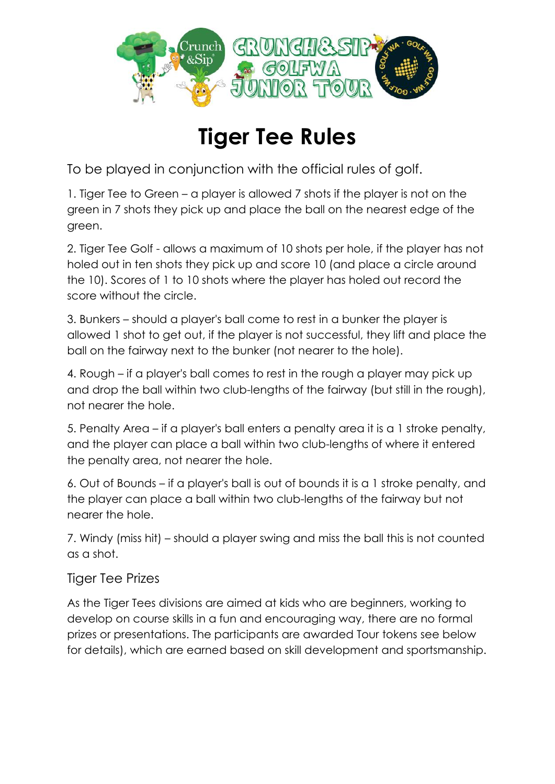

# **Tiger Tee Rules**

To be played in conjunction with the official rules of golf.

1. Tiger Tee to Green – a player is allowed 7 shots if the player is not on the green in 7 shots they pick up and place the ball on the nearest edge of the green.

2. Tiger Tee Golf - allows a maximum of 10 shots per hole, if the player has not holed out in ten shots they pick up and score 10 (and place a circle around the 10). Scores of 1 to 10 shots where the player has holed out record the score without the circle.

3. Bunkers – should a player's ball come to rest in a bunker the player is allowed 1 shot to get out, if the player is not successful, they lift and place the ball on the fairway next to the bunker (not nearer to the hole).

4. Rough – if a player's ball comes to rest in the rough a player may pick up and drop the ball within two club-lengths of the fairway (but still in the rough), not nearer the hole.

5. Penalty Area – if a player's ball enters a penalty area it is a 1 stroke penalty, and the player can place a ball within two club-lengths of where it entered the penalty area, not nearer the hole.

6. Out of Bounds – if a player's ball is out of bounds it is a 1 stroke penalty, and the player can place a ball within two club-lengths of the fairway but not nearer the hole.

7. Windy (miss hit) – should a player swing and miss the ball this is not counted as a shot.

### Tiger Tee Prizes

As the Tiger Tees divisions are aimed at kids who are beginners, working to develop on course skills in a fun and encouraging way, there are no formal prizes or presentations. The participants are awarded Tour tokens see below for details), which are earned based on skill development and sportsmanship.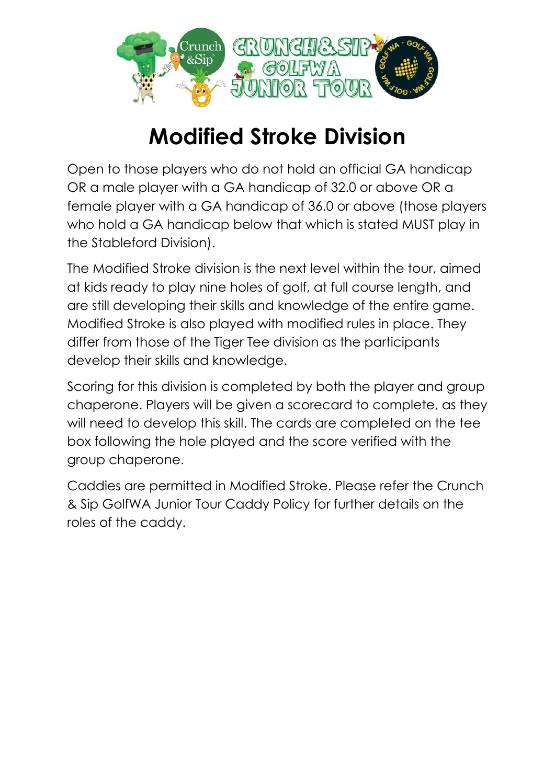

# **Modified Stroke Division**

Open to those players who do not hold an official GA handicap OR a male player with a GA handicap of 32.0 or above OR a female player with a GA handicap of 36.0 or above (those players who hold a GA handicap below that which is stated MUST play in the Stableford Division).

The Modified Stroke division is the next level within the tour, aimed at kids ready to play nine holes of golf, at full course length, and are still developing their skills and knowledge of the entire game. Modified Stroke is also played with modified rules in place. They differ from those of the Tiger Tee division as the participants develop their skills and knowledge.

Scoring for this division is completed by both the player and group chaperone. Players will be given a scorecard to complete, as they will need to develop this skill. The cards are completed on the tee box following the hole played and the score verified with the group chaperone.

Caddies are permitted in Modified Stroke. Please refer the Crunch & Sip GolfWA Junior Tour Caddy Policy for further details on the roles of the caddy.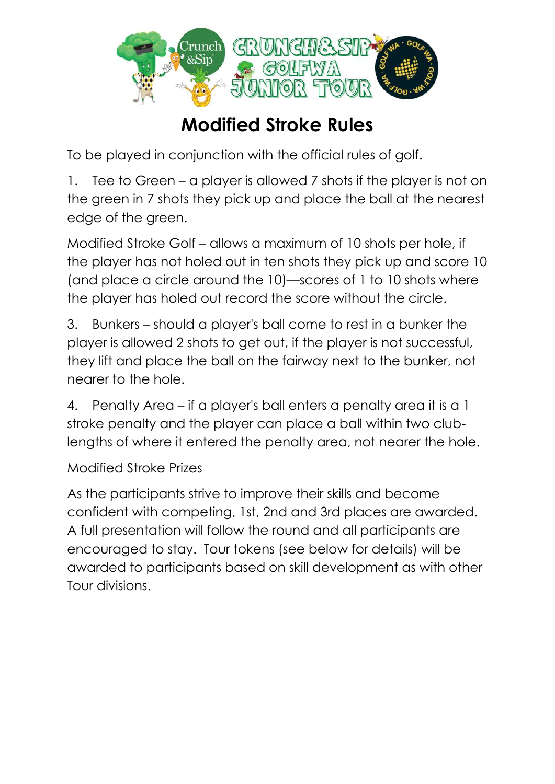

## **Modified Stroke Rules**

To be played in conjunction with the official rules of golf.

1. Tee to Green – a player is allowed 7 shots if the player is not on the green in 7 shots they pick up and place the ball at the nearest edge of the green.

Modified Stroke Golf – allows a maximum of 10 shots per hole, if the player has not holed out in ten shots they pick up and score 10 (and place a circle around the 10)—scores of 1 to 10 shots where the player has holed out record the score without the circle.

3. Bunkers – should a player's ball come to rest in a bunker the player is allowed 2 shots to get out, if the player is not successful, they lift and place the ball on the fairway next to the bunker, not nearer to the hole.

4. Penalty Area – if a player's ball enters a penalty area it is a 1 stroke penalty and the player can place a ball within two clublengths of where it entered the penalty area, not nearer the hole.

Modified Stroke Prizes

As the participants strive to improve their skills and become confident with competing, 1st, 2nd and 3rd places are awarded. A full presentation will follow the round and all participants are encouraged to stay. Tour tokens (see below for details) will be awarded to participants based on skill development as with other Tour divisions.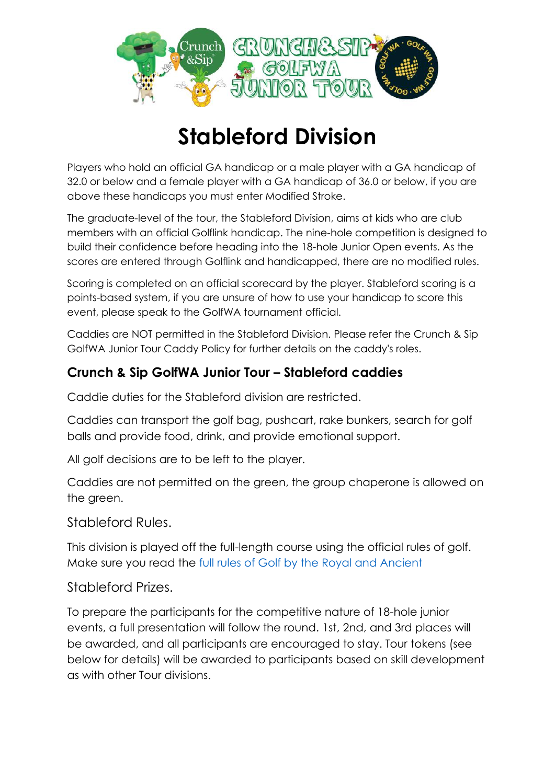

# **Stableford Division**

Players who hold an official GA handicap or a male player with a GA handicap of 32.0 or below and a female player with a GA handicap of 36.0 or below, if you are above these handicaps you must enter Modified Stroke.

The graduate-level of the tour, the Stableford Division, aims at kids who are club members with an official Golflink handicap. The nine-hole competition is designed to build their confidence before heading into the 18-hole Junior Open events. As the scores are entered through Golflink and handicapped, there are no modified rules.

Scoring is completed on an official scorecard by the player. Stableford scoring is a points-based system, if you are unsure of how to use your handicap to score this event, please speak to the GolfWA tournament official.

Caddies are NOT permitted in the Stableford Division. Please refer the Crunch & Sip GolfWA Junior Tour Caddy Policy for further details on the caddy's roles.

## **Crunch & Sip GolfWA Junior Tour – Stableford caddies**

Caddie duties for the Stableford division are restricted.

Caddies can transport the golf bag, pushcart, rake bunkers, search for golf balls and provide food, drink, and provide emotional support.

All golf decisions are to be left to the player.

Caddies are not permitted on the green, the group chaperone is allowed on the green.

Stableford Rules.

This division is played off the full-length course using the official rules of golf. Make sure you read the [full rules of Golf by the Royal and Ancient](https://www.randa.org/Rog/2019/Pages/The-Rules-of-Golf)

### Stableford Prizes.

To prepare the participants for the competitive nature of 18-hole junior events, a full presentation will follow the round. 1st, 2nd, and 3rd places will be awarded, and all participants are encouraged to stay. Tour tokens (see below for details) will be awarded to participants based on skill development as with other Tour divisions.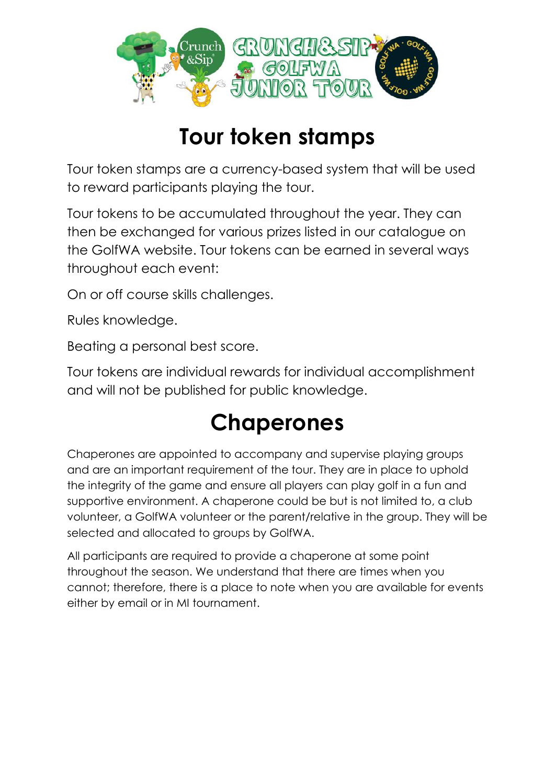

## **Tour token stamps**

Tour token stamps are a currency-based system that will be used to reward participants playing the tour.

Tour tokens to be accumulated throughout the year. They can then be exchanged for various prizes listed in our catalogue on the GolfWA website. Tour tokens can be earned in several ways throughout each event:

On or off course skills challenges.

Rules knowledge.

Beating a personal best score.

Tour tokens are individual rewards for individual accomplishment and will not be published for public knowledge.

# **Chaperones**

Chaperones are appointed to accompany and supervise playing groups and are an important requirement of the tour. They are in place to uphold the integrity of the game and ensure all players can play golf in a fun and supportive environment. A chaperone could be but is not limited to, a club volunteer, a GolfWA volunteer or the parent/relative in the group. They will be selected and allocated to groups by GolfWA.

All participants are required to provide a chaperone at some point throughout the season. We understand that there are times when you cannot; therefore, there is a place to note when you are available for events either by email or in MI tournament.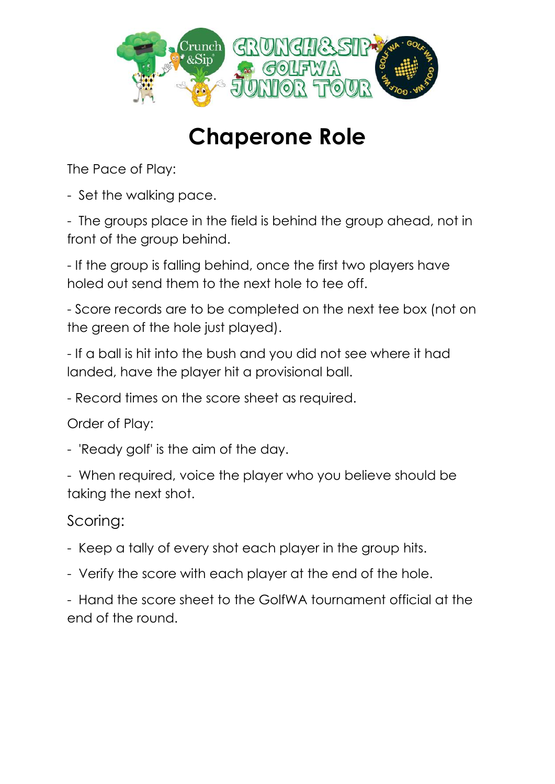

# **Chaperone Role**

The Pace of Play:

- Set the walking pace.

- The groups place in the field is behind the group ahead, not in front of the group behind.

- If the group is falling behind, once the first two players have holed out send them to the next hole to tee off.

- Score records are to be completed on the next tee box (not on the green of the hole just played).

- If a ball is hit into the bush and you did not see where it had landed, have the player hit a provisional ball.

- Record times on the score sheet as required.

Order of Play:

- 'Ready golf' is the aim of the day.

- When required, voice the player who you believe should be taking the next shot.

## Scoring:

- Keep a tally of every shot each player in the group hits.
- Verify the score with each player at the end of the hole.

- Hand the score sheet to the GolfWA tournament official at the end of the round.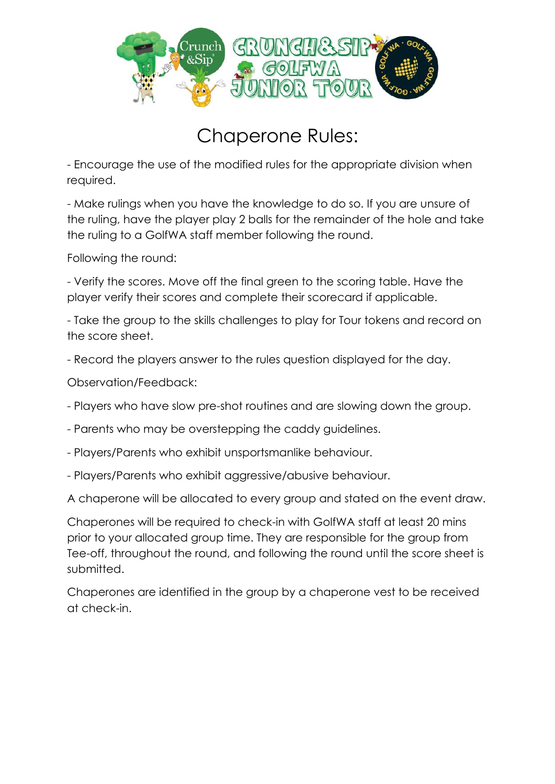

## Chaperone Rules:

- Encourage the use of the modified rules for the appropriate division when required.

- Make rulings when you have the knowledge to do so. If you are unsure of the ruling, have the player play 2 balls for the remainder of the hole and take the ruling to a GolfWA staff member following the round.

Following the round:

- Verify the scores. Move off the final green to the scoring table. Have the player verify their scores and complete their scorecard if applicable.

- Take the group to the skills challenges to play for Tour tokens and record on the score sheet.

- Record the players answer to the rules question displayed for the day.

Observation/Feedback:

- Players who have slow pre-shot routines and are slowing down the group.

- Parents who may be overstepping the caddy guidelines.

- Players/Parents who exhibit unsportsmanlike behaviour.
- Players/Parents who exhibit aggressive/abusive behaviour.

A chaperone will be allocated to every group and stated on the event draw.

Chaperones will be required to check-in with GolfWA staff at least 20 mins prior to your allocated group time. They are responsible for the group from Tee-off, throughout the round, and following the round until the score sheet is submitted.

Chaperones are identified in the group by a chaperone vest to be received at check-in.